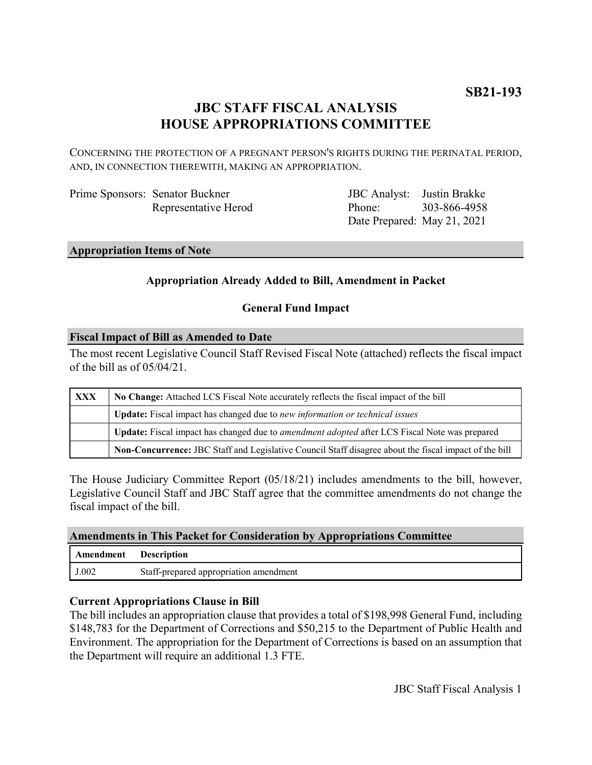## **JBC STAFF FISCAL ANALYSIS HOUSE APPROPRIATIONS COMMITTEE**

CONCERNING THE PROTECTION OF A PREGNANT PERSON'S RIGHTS DURING THE PERINATAL PERIOD, AND, IN CONNECTION THEREWITH, MAKING AN APPROPRIATION.

| Prime Sponsors: Senator Buckner |
|---------------------------------|
| Representative Herod            |

JBC Analyst: Justin Brakke Phone: Date Prepared: May 21, 2021 303-866-4958

**Appropriation Items of Note**

## **Appropriation Already Added to Bill, Amendment in Packet**

### **General Fund Impact**

### **Fiscal Impact of Bill as Amended to Date**

The most recent Legislative Council Staff Revised Fiscal Note (attached) reflects the fiscal impact of the bill as of 05/04/21.

| <b>XXX</b> | No Change: Attached LCS Fiscal Note accurately reflects the fiscal impact of the bill                       |  |
|------------|-------------------------------------------------------------------------------------------------------------|--|
|            | Update: Fiscal impact has changed due to new information or technical issues                                |  |
|            | <b>Update:</b> Fiscal impact has changed due to <i>amendment adopted</i> after LCS Fiscal Note was prepared |  |
|            | Non-Concurrence: JBC Staff and Legislative Council Staff disagree about the fiscal impact of the bill       |  |

The House Judiciary Committee Report (05/18/21) includes amendments to the bill, however, Legislative Council Staff and JBC Staff agree that the committee amendments do not change the fiscal impact of the bill.

### **Amendments in This Packet for Consideration by Appropriations Committee**

| Amendment | <b>Description</b>                     |
|-----------|----------------------------------------|
| J.002     | Staff-prepared appropriation amendment |

### **Current Appropriations Clause in Bill**

The bill includes an appropriation clause that provides a total of \$198,998 General Fund, including \$148,783 for the Department of Corrections and \$50,215 to the Department of Public Health and Environment. The appropriation for the Department of Corrections is based on an assumption that the Department will require an additional 1.3 FTE.